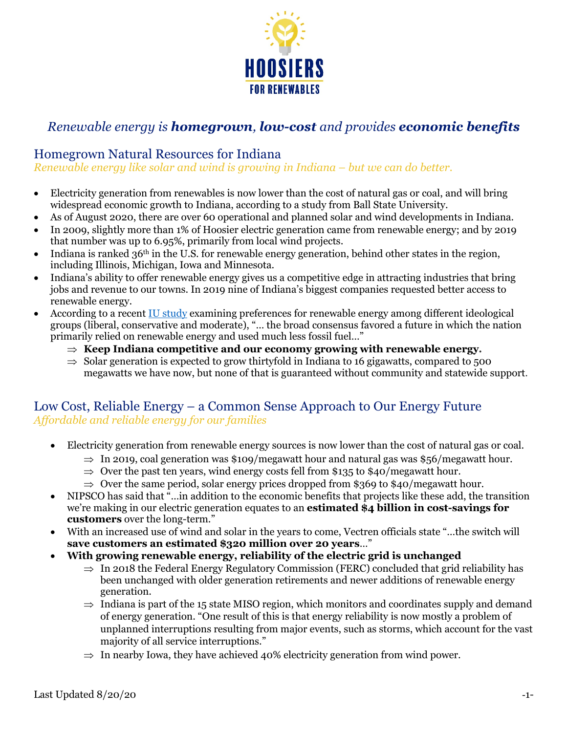

# *Renewable energy is homegrown, low-cost and provides economic benefits*

## Homegrown Natural Resources for Indiana

*Renewable energy like solar and wind is growing in Indiana – but we can do better.*

- Electricity generation from renewables is now lower than the cost of natural gas or coal, and will bring widespread economic growth to Indiana, according to a study from Ball State University.
- As of August 2020, there are over 60 operational and planned solar and wind developments in Indiana.
- In 2009, slightly more than 1% of Hoosier electric generation came from renewable energy; and by 2019 that number was up to 6.95%, primarily from local wind projects.
- Indiana is ranked  $36<sup>th</sup>$  in the U.S. for renewable energy generation, behind other states in the region, including Illinois, Michigan, Iowa and Minnesota.
- Indiana's ability to offer renewable energy gives us a competitive edge in attracting industries that bring jobs and revenue to our towns. In 2019 nine of Indiana's biggest companies requested better access to renewable energy.
- According to a recent IU study examining preferences for renewable energy among different ideological groups (liberal, conservative and moderate), "… the broad consensus favored a future in which the nation primarily relied on renewable energy and used much less fossil fuel…"
	- $\Rightarrow$  Keep Indiana competitive and our economy growing with renewable energy.
	- $\Rightarrow$  Solar generation is expected to grow thirtyfold in Indiana to 16 gigawatts, compared to 500 megawatts we have now, but none of that is guaranteed without community and statewide support.

### Low Cost, Reliable Energy – a Common Sense Approach to Our Energy Future *Affordable and reliable energy for our families*

- Electricity generation from renewable energy sources is now lower than the cost of natural gas or coal.
	- $\Rightarrow$  In 2019, coal generation was \$109/megawatt hour and natural gas was \$56/megawatt hour.
	- $\Rightarrow$  Over the past ten years, wind energy costs fell from \$135 to \$40/megawatt hour.
	- $\Rightarrow$  Over the same period, solar energy prices dropped from \$369 to \$40/megawatt hour.
- NIPSCO has said that "...in addition to the economic benefits that projects like these add, the transition we're making in our electric generation equates to an **estimated \$4 billion in cost-savings for customers** over the long-term."
- With an increased use of wind and solar in the years to come, Vectren officials state "…the switch will **save customers an estimated \$320 million over 20 years**…"
- **With growing renewable energy, reliability of the electric grid is unchanged**
	- $\Rightarrow$  In 2018 the Federal Energy Regulatory Commission (FERC) concluded that grid reliability has been unchanged with older generation retirements and newer additions of renewable energy generation.
	- $\Rightarrow$  Indiana is part of the 15 state MISO region, which monitors and coordinates supply and demand of energy generation. "One result of this is that energy reliability is now mostly a problem of unplanned interruptions resulting from major events, such as storms, which account for the vast majority of all service interruptions."
	- $\Rightarrow$  In nearby Iowa, they have achieved 40% electricity generation from wind power.